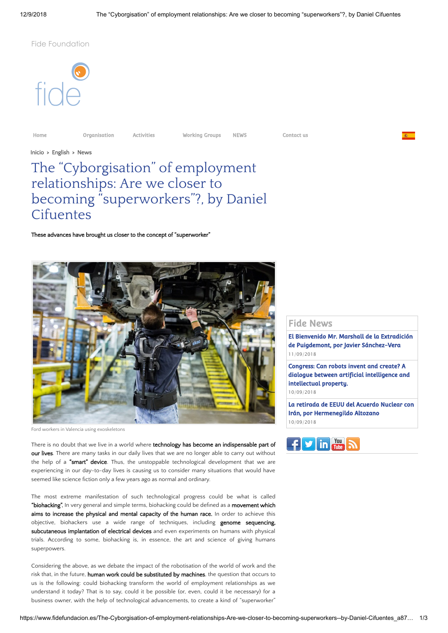Fide Foundation



[Home](https://www.fidefundacion.es/English_r30.html) [Organisation](https://www.fidefundacion.es/Organisation_r34.html) [Activities](https://www.fidefundacion.es/Activities_r33.html) [Working Groups](https://www.fidefundacion.es/Working-Groups_r35.html) [NEWS](https://www.fidefundacion.es/News_r31.html) [Contact us](https://www.fidefundacion.es/forms/Contact-us_f2.html)

[Inicio](https://www.fidefundacion.es/)  >  [English](https://www.fidefundacion.es/English_r30.html) > [News](https://www.fidefundacion.es/News_r31.html)

# The "Cyborgisation" of employment relationships: Are we closer to becoming "superworkers"?, by Daniel **Cifuentes**

These advances have brought us closer to the concept of "superworker"



Ford workers in Valencia using exoskeletons

There is no doubt that we live in a world where technology has become an indispensable part of our lives. There are many tasks in our daily lives that we are no longer able to carry out without the help of a "smart" device. Thus, the unstoppable technological development that we are experiencing in our day-to-day lives is causing us to consider many situations that would have seemed like science fiction only a few years ago as normal and ordinary.

The most extreme manifestation of such technological progress could be what is called "biohacking". In very general and simple terms, biohacking could be defined as a movement which aims to increase the physical and mental capacity of the human race. In order to achieve this objective, biohackers use a wide range of techniques, including **genome sequencing,** subcutaneous implantation of electrical devices and even experiments on humans with physical trials. According to some, biohacking is, in essence, the art and science of giving humans superpowers.

Considering the above, as we debate the impact of the robotisation of the world of work and the risk that, in the future, human work could be substituted by machines, the question that occurs to us is the following: could biohacking transform the world of employment relationships as we understand it today? That is to say, could it be possible (or, even, could it be necessary) for a business owner, with the help of technological advancements, to create a kind of "superworker"

## Fide News

[El Bienvenido Mr. Marshall de la Extradición](https://www.fidefundacion.es/El-Bienvenido-Mr-Marshall-de-la-Extradicion-de-Puigdemont-por-Javier-Sanchez-Vera_a875.html) de Puigdemont, por Javier Sánchez-Vera 11/09/2018

Congress: Can robots invent and create? A [dialogue between artificial intelligence and](https://www.fidefundacion.es/Congress-Can-robots-invent-and-create-A-dialogue-between-artificial-intelligence-and-intellectual-property_a837.html) intellectual property. 10/09/2018

[La retirada de EEUU del Acuerdo Nuclear con](https://www.fidefundacion.es/La-retirada-de-EEUU-del-Acuerdo-Nuclear-con-Iran-por-Hermenegildo-Altozano_a836.html) Irán, por Hermenegildo Altozano 10/09/2018

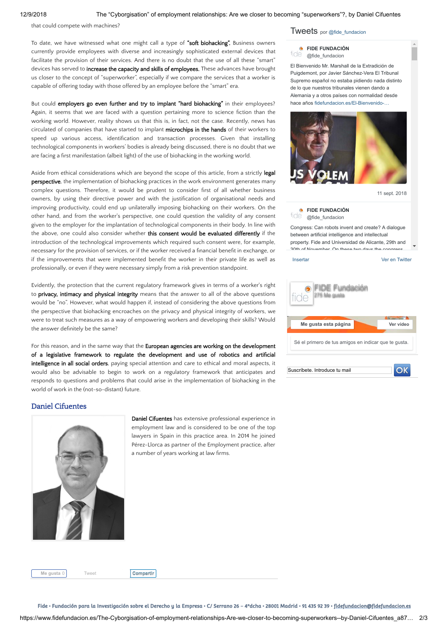that could compete with machines?

To date, we have witnessed what one might call a type of "soft biohacking". Business owners currently provide employees with diverse and increasingly sophisticated external devices that facilitate the provision of their services. And there is no doubt that the use of all these "smart" devices has served to increase the capacity and skills of employees. These advances have brought us closer to the concept of "superworker", especially if we compare the services that a worker is capable of offering today with those offered by an employee before the "smart" era.

But could employers go even further and try to implant "hard biohacking" in their employees? Again, it seems that we are faced with a question pertaining more to science fiction than the working world. However, reality shows us that this is, in fact, not the case. Recently, news has circulated of companies that have started to implant microchips in the hands of their workers to speed up various access, identification and transaction processes. Given that installing technological components in workers' bodies is already being discussed, there is no doubt that we are facing a first manifestation (albeit light) of the use of biohacking in the working world.

Aside from ethical considerations which are beyond the scope of this article, from a strictly legal perspective, the implementation of biohacking practices in the work environment generates many complex questions. Therefore, it would be prudent to consider first of all whether business owners, by using their directive power and with the justification of organisational needs and improving productivity, could end up unilaterally imposing biohacking on their workers. On the other hand, and from the worker's perspective, one could question the validity of any consent given to the employer for the implantation of technological components in their body. In line with the above, one could also consider whether this consent would be evaluated differently if the introduction of the technological improvements which required such consent were, for example, necessary for the provision of services, or if the worker received a financial benefit in exchange, or if the improvements that were implemented benefit the worker in their private life as well as professionally, or even if they were necessary simply from a risk prevention standpoint.

Evidently, the protection that the current regulatory framework gives in terms of a worker's right to privacy, intimacy and physical integrity means that the answer to all of the above questions would be "no". However, what would happen if, instead of considering the above questions from the perspective that biohacking encroaches on the privacy and physical integrity of workers, we were to treat such measures as a way of empowering workers and developing their skills? Would the answer definitely be the same?

For this reason, and in the same way that the European agencies are working on the development of a legislative framework to regulate the development and use of robotics and artificial intelligence in all social orders, paying special attention and care to ethical and moral aspects, it would also be advisable to begin to work on a regulatory framework that anticipates and responds to questions and problems that could arise in the implementation of biohacking in the world of work in the (not-so-distant) future.

### Daniel Cifuentes



Daniel Cifuentes has extensive professional experience in employment law and is considered to be one of the top lawyers in Spain in this practice area. In 2014 he joined Pérez-Llorca as partner of the Employment practice, after a number of years working at law firms.

Tweets por [@fide\\_fundacion](https://twitter.com/fide_fundacion)

#### *<b>G* [FIDE FUNDACIÓN](https://twitter.com/fide_fundacion)

fide @fide\_fundacion

El Bienvenido Mr. Marshall de la Extradición de Puigdemont, por Javier Sánchez-Vera El Tribunal Supremo español no estaba pidiendo nada distinto de lo que nuestros tribunales vienen dando a Alemania y a otros países con normalidad desde hace años [fidefundacion.es/El-Bienvenido-…](https://t.co/HAEYc5Ur60)



[11 sept. 2018](https://twitter.com/fide_fundacion/status/1039463147676020736)

#### *<b>EIDE FUNDACIÓN* fide @fide\_fundacion

Congress: Can robots invent and create? A dialogue between artificial intelligence and intellectual property. Fide and Universidad de Alicante, 29th and 30th of November On these two days the congress

#### [Insertar](https://publish.twitter.com/?url=https%3A%2F%2Ftwitter.com%2Ffide_fundacion) [Ver en Twitter](https://twitter.com/fide_fundacion)

| Me gusta esta página<br>Ver vídeo                    |  |
|------------------------------------------------------|--|
| Sé el primero de tus amigos en indicar que te gusta. |  |
| Suscríbete. Introduce tu mail                        |  |

**Me gusta** 0 [Tweet](https://twitter.com/intent/tweet?original_referer=https%3A%2F%2Fwww.fidefundacion.es%2FThe-Cyborgisation-of-employment-relationships-Are-we-closer-to-becoming-superworkers--by-Daniel-Cifuentes_a878.html&ref_src=twsrc%5Etfw&text=The%20%E2%80%9CCyborgisation%E2%80%9D%20of%20employment%20relationships%3A%20Are%20we%20closer%20to%20becoming%20%E2%80%9Csuperworkers%E2%80%9D%3F%2C%20by%20Daniel%20Cifuentes&tw_p=tweetbutton&url=http%3A%2F%2Fxfru.it%2FDiNtdc) **[Compartir](javascript:void(0);)**